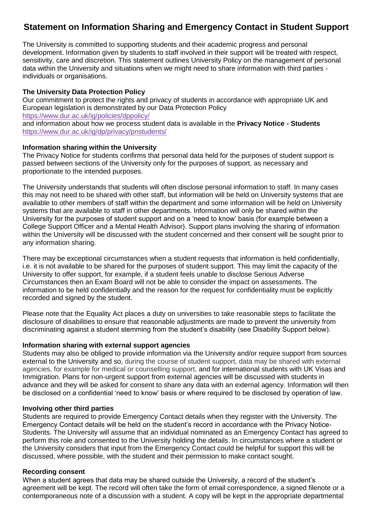# **Statement on Information Sharing and Emergency Contact in Student Support**

The University is committed to supporting students and their academic progress and personal development. Information given by students to staff involved in their support will be treated with respect, sensitivity, care and discretion. This statement outlines University Policy on the management of personal data within the University and situations when we might need to share information with third parties individuals or organisations.

### **The University Data Protection Policy**

Our commitment to protect the rights and privacy of students in accordance with appropriate UK and European legislation is demonstrated by our Data Protection Policy <https://www.dur.ac.uk/ig/policies/dppolicy/> and information about how we process student data is available in the **Privacy Notice - Students** <https://www.dur.ac.uk/ig/dp/privacy/pnstudents/>

#### **Information sharing within the University**

The Privacy Notice for students confirms that personal data held for the purposes of student support is passed between sections of the University only for the purposes of support, as necessary and proportionate to the intended purposes.

The University understands that students will often disclose personal information to staff. In many cases this may not need to be shared with other staff, but information will be held on University systems that are available to other members of staff within the department and some information will be held on University systems that are available to staff in other departments. Information will only be shared within the University for the purposes of student support and on a 'need to know' basis (for example between a College Support Officer and a Mental Health Advisor). Support plans involving the sharing of information within the University will be discussed with the student concerned and their consent will be sought prior to any information sharing.

There may be exceptional circumstances when a student requests that information is held confidentially, i.e. it is not available to be shared for the purposes of student support. This may limit the capacity of the University to offer support, for example, if a student feels unable to disclose Serious Adverse Circumstances then an Exam Board will not be able to consider the impact on assessments. The information to be held confidentially and the reason for the request for confidentiality must be explicitly recorded and signed by the student.

Please note that the Equality Act places a duty on universities to take reasonable steps to facilitate the disclosure of disabilities to ensure that reasonable adjustments are made to prevent the university from discriminating against a student stemming from the student's disability (see Disability Support below).

#### **Information sharing with external support agencies**

Students may also be obliged to provide information via the University and/or require support from sources external to the University and so, during the course of student support, data may be shared with external agencies, for example for medical or counselling support, and for international students with UK Visas and Immigration. Plans for non-urgent support from external agencies will be discussed with students in advance and they will be asked for consent to share any data with an external agency. Information will then be disclosed on a confidential 'need to know' basis or where required to be disclosed by operation of law.

#### **Involving other third parties**

Students are required to provide Emergency Contact details when they register with the University. The Emergency Contact details will be held on the student's record in accordance with the Privacy Notice-Students. The University will assume that an individual nominated as an Emergency Contact has agreed to perform this role and consented to the University holding the details. In circumstances where a student or the University considers that input from the Emergency Contact could be helpful for support this will be discussed, where possible, with the student and their permission to make contact sought.

#### **Recording consent**

When a student agrees that data may be shared outside the University, a record of the student's agreement will be kept. The record will often take the form of email correspondence, a signed filenote or a contemporaneous note of a discussion with a student. A copy will be kept in the appropriate departmental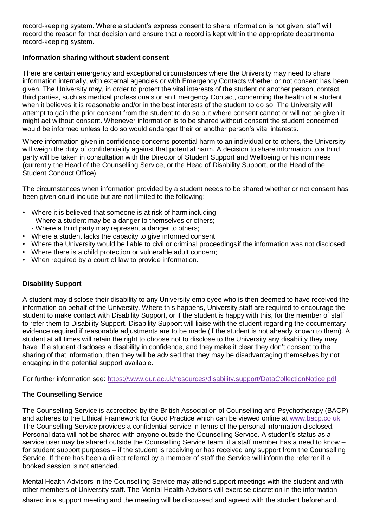record-keeping system. Where a student's express consent to share information is not given, staff will record the reason for that decision and ensure that a record is kept within the appropriate departmental record-keeping system.

### **Information sharing without student consent**

There are certain emergency and exceptional circumstances where the University may need to share information internally, with external agencies or with Emergency Contacts whether or not consent has been given. The University may, in order to protect the vital interests of the student or another person, contact third parties, such as medical professionals or an Emergency Contact, concerning the health of a student when it believes it is reasonable and/or in the best interests of the student to do so. The University will attempt to gain the prior consent from the student to do so but where consent cannot or will not be given it might act without consent. Whenever information is to be shared without consent the student concerned would be informed unless to do so would endanger their or another person's vital interests.

Where information given in confidence concerns potential harm to an individual or to others, the University will weigh the duty of confidentiality against that potential harm. A decision to share information to a third party will be taken in consultation with the Director of Student Support and Wellbeing or his nominees (currently the Head of the Counselling Service, or the Head of Disability Support, or the Head of the Student Conduct Office).

The circumstances when information provided by a student needs to be shared whether or not consent has been given could include but are not limited to the following:

- Where it is believed that someone is at risk of harm including:
	- Where a student may be a danger to themselves or others;
	- Where a third party may represent a danger to others;
- Where a student lacks the capacity to give informed consent;
- Where the University would be liable to civil or criminal proceedingsif the information was not disclosed;
- Where there is a child protection or vulnerable adult concern;
- When required by a court of law to provide information.

## **Disability Support**

A student may disclose their disability to any University employee who is then deemed to have received the information on behalf of the University. Where this happens, University staff are required to encourage the student to make contact with Disability Support, or if the student is happy with this, for the member of staff to refer them to Disability Support. Disability Support will liaise with the student regarding the documentary evidence required if reasonable adjustments are to be made (if the student is not already known to them). A student at all times will retain the right to choose not to disclose to the University any disability they may have. If a student discloses a disability in confidence, and they make it clear they don't consent to the sharing of that information, then they will be advised that they may be disadvantaging themselves by not engaging in the potential support available*.* 

For further information see:<https://www.dur.ac.uk/resources/disability.support/DataCollectionNotice.pdf>

## **The Counselling Service**

The Counselling Service is accredited by the British Association of Counselling and Psychotherapy (BACP) and adheres to the Ethical Framework for Good Practice which can be viewed online at [www.bacp.co.uk](http://www.bacp.co.uk/) The Counselling Service provides a confidential service in terms of the personal information disclosed. Personal data will not be shared with anyone outside the Counselling Service. A student's status as a service user may be shared outside the Counselling Service team, if a staff member has a need to know – for student support purposes – if the student is receiving or has received any support from the Counselling Service. If there has been a direct referral by a member of staff the Service will inform the referrer if a booked session is not attended.

Mental Health Advisors in the Counselling Service may attend support meetings with the student and with other members of University staff. The Mental Health Advisors will exercise discretion in the information shared in a support meeting and the meeting will be discussed and agreed with the student beforehand.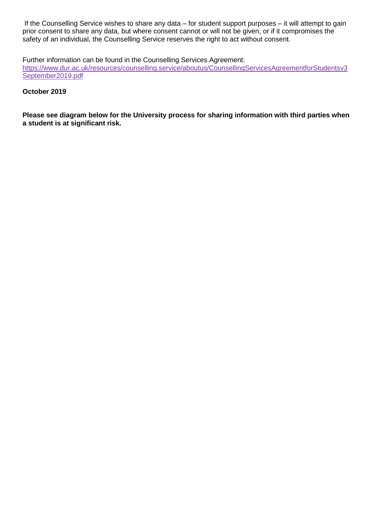If the Counselling Service wishes to share any data – for student support purposes – it will attempt to gain prior consent to share any data, but where consent cannot or will not be given, or if it compromises the safety of an individual, the Counselling Service reserves the right to act without consent.

Further information can be found in the Counselling Services Agreement:

[https://www.dur.ac.uk/resources/counselling.service/aboutus/CounsellingServicesAgreementforStudentsv3](https://www.dur.ac.uk/resources/counselling.service/aboutus/CounsellingServicesAgreementforStudentsv3September2019.pdf) [September2019.pdf](https://www.dur.ac.uk/resources/counselling.service/aboutus/CounsellingServicesAgreementforStudentsv3September2019.pdf)

#### **October 2019**

**Please see diagram below for the University process for sharing information with third parties when a student is at significant risk.**